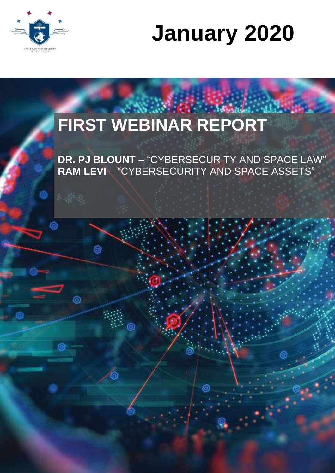

# **January 2020**

## **FIRST WEBINAR REPORT**

 $\odot$ 

Ô

**DR. PJ BLOUNT** – "CYBERSECURITY AND SPACE LAW" **RAM LEVI** – "CYBERSECURITY AND SPACE ASSETS"

6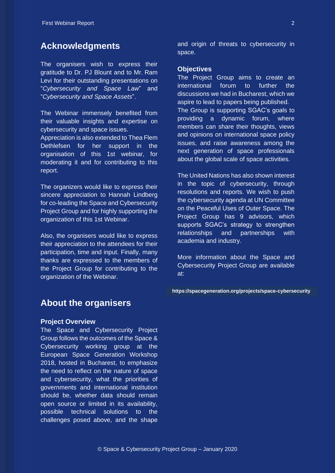#### **Acknowledgments**

The organisers wish to express their gratitude to Dr. PJ Blount and to Mr. Ram Levi for their outstanding presentations on "*Cybersecurity and Space Law*" and "*Cybersecurity and Space Assets*".

The Webinar immensely benefited from their valuable insights and expertise on cybersecurity and space issues.

Appreciation is also extended to Thea Flem Dethlefsen for her support in the organisation of this 1st webinar, for moderating it and for contributing to this report.

The organizers would like to express their sincere appreciation to Hannah Lindberg for co-leading the Space and Cybersecurity Project Group and for highly supporting the organization of this 1st Webinar.

Also, the organisers would like to express their appreciation to the attendees for their participation, time and input. Finally, many thanks are expressed to the members of the Project Group for contributing to the organization of the Webinar.

and origin of threats to cybersecurity in space.

#### **Objectives**

The Project Group aims to create an international forum to further the discussions we had in Bucharest, which we aspire to lead to papers being published. The Group is supporting SGAC's goals to providing a dynamic forum, where members can share their thoughts, views and opinions on international space policy issues, and raise awareness among the next generation of space professionals about the global scale of space activities.

The United Nations has also shown interest in the topic of cybersecurity, through resolutions and reports. We wish to push the cybersecurity agenda at UN Committee on the Peaceful Uses of Outer Space. The Project Group has 9 advisors, which supports SGAC's strategy to strengthen relationships and partnerships with academia and industry.

More information about the Space and Cybersecurity Project Group are available at:

**https://spacegeneration.org/projects/space-cybersecurity**

#### **About the organisers**

#### **Project Overview**

The Space and Cybersecurity Project Group follows the outcomes of the Space & Cybersecurity working group at the European Space Generation Workshop 2018, hosted in Bucharest, to emphasize the need to reflect on the nature of space and cybersecurity, what the priorities of governments and international institution should be, whether data should remain open source or limited in its availability, possible technical solutions to the challenges posed above, and the shape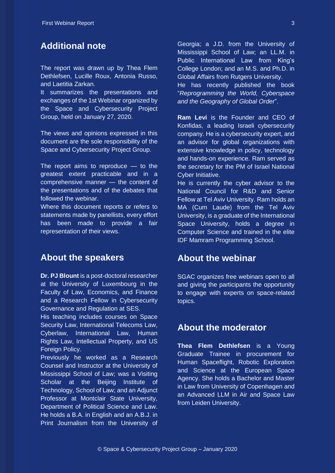## **Additional note**

The report was drawn up by Thea Flem Dethlefsen, Lucille Roux, Antonia Russo, and Laetitia Zarkan.

It summarizes the presentations and exchanges of the 1st Webinar organized by the Space and Cybersecurity Project Group, held on January 27, 2020.

The views and opinions expressed in this document are the sole responsibility of the Space and Cybersecurity Project Group.

The report aims to reproduce  $-$  to the greatest extent practicable and in a comprehensive manner — the content of the presentations and of the debates that followed the webinar.

Where this document reports or refers to statements made by panellists, every effort has been made to provide a fair representation of their views.

### **About the speakers**

**Dr. PJ Blount** is a post-doctoral researcher at the University of Luxembourg in the Faculty of Law, Economics, and Finance and a Research Fellow in Cybersecurity Governance and Regulation at SES.

His teaching includes courses on Space Security Law, International Telecoms Law, Cyberlaw, International Law, Human Rights Law, Intellectual Property, and US Foreign Policy.

Previously he worked as a Research Counsel and Instructor at the University of Mississippi School of Law; was a Visiting Scholar at the Beijing Institute of Technology, School of Law; and an Adjunct Professor at Montclair State University, Department of Political Science and Law. He holds a B.A. in English and an A.B.J. in Print Journalism from the University of

Georgia; a J.D. from the University of Mississippi School of Law; an LL.M. in Public International Law from King's College London; and an M.S. and Ph.D. in Global Affairs from Rutgers University.

He has recently published the book "*Reprogramming the World, Cyberspace and the Geography of Global Order*".

**Ram Levi** is the Founder and CEO of Konfidas, a leading Israeli cybersecurity company. He is a cybersecurity expert, and an advisor for global organizations with extensive knowledge in policy, technology and hands-on experience. Ram served as the secretary for the PM of Israel National Cyber Initiative.

He is currently the cyber advisor to the National Council for R&D and Senior Fellow at Tel Aviv University. Ram holds an MA (Cum Laude) from the Tel Aviv University, is a graduate of the International Space University, holds a degree in Computer Science and trained in the elite IDF Mamram Programming School.

#### **About the webinar**

SGAC organizes free webinars open to all and giving the participants the opportunity to engage with experts on space-related topics.

### **About the moderator**

**Thea Flem Dethlefsen** is a Young Graduate Trainee in procurement for Human Spaceflight, Robotic Exploration and Science at the European Space Agency. She holds a Bachelor and Master in Law from University of Copenhagen and an Advanced LLM in Air and Space Law from Leiden University.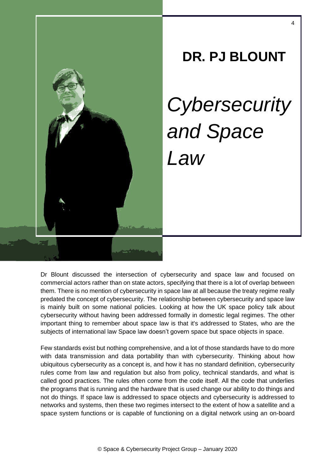

**DR. PJ BLOUNT** *Cybersecurity and Space Law*

Dr Blount discussed the intersection of cybersecurity and space law and focused on commercial actors rather than on state actors, specifying that there is a lot of overlap between them. There is no mention of cybersecurity in space law at all because the treaty regime really predated the concept of cybersecurity. The relationship between cybersecurity and space law is mainly built on some national policies. Looking at how the UK space policy talk about cybersecurity without having been addressed formally in domestic legal regimes. The other important thing to remember about space law is that it's addressed to States, who are the subjects of international law Space law doesn't govern space but space objects in space.

Few standards exist but nothing comprehensive, and a lot of those standards have to do more with data transmission and data portability than with cybersecurity. Thinking about how ubiquitous cybersecurity as a concept is, and how it has no standard definition, cybersecurity rules come from law and regulation but also from policy, technical standards, and what is called good practices. The rules often come from the code itself. All the code that underlies the programs that is running and the hardware that is used change our ability to do things and not do things. If space law is addressed to space objects and cybersecurity is addressed to networks and systems, then these two regimes intersect to the extent of how a satellite and a space system functions or is capable of functioning on a digital network using an on-board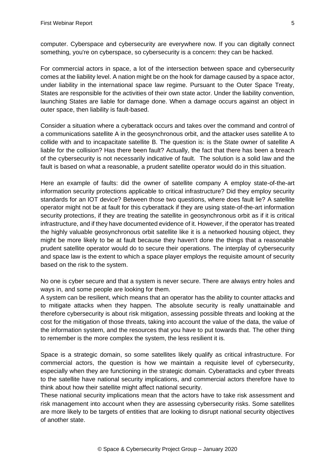computer. Cyberspace and cybersecurity are everywhere now. If you can digitally connect something, you're on cyberspace, so cybersecurity is a concern: they can be hacked.

For commercial actors in space, a lot of the intersection between space and cybersecurity comes at the liability level. A nation might be on the hook for damage caused by a space actor, under liability in the international space law regime. Pursuant to the Outer Space Treaty, States are responsible for the activities of their own state actor. Under the liability convention, launching States are liable for damage done. When a damage occurs against an object in outer space, then liability is fault-based.

Consider a situation where a cyberattack occurs and takes over the command and control of a communications satellite A in the geosynchronous orbit, and the attacker uses satellite A to collide with and to incapacitate satellite B. The question is: is the State owner of satellite A liable for the collision? Has there been fault? Actually, the fact that there has been a breach of the cybersecurity is not necessarily indicative of fault. The solution is a solid law and the fault is based on what a reasonable, a prudent satellite operator would do in this situation.

Here an example of faults: did the owner of satellite company A employ state-of-the-art information security protections applicable to critical infrastructure? Did they employ security standards for an IOT device? Between those two questions, where does fault lie? A satellite operator might not be at fault for this cyberattack if they are using state-of-the-art information security protections, if they are treating the satellite in geosynchronous orbit as if it is critical infrastructure, and if they have documented evidence of it. However, if the operator has treated the highly valuable geosynchronous orbit satellite like it is a networked housing object, they might be more likely to be at fault because they haven't done the things that a reasonable prudent satellite operator would do to secure their operations. The interplay of cybersecurity and space law is the extent to which a space player employs the requisite amount of security based on the risk to the system.

No one is cyber secure and that a system is never secure. There are always entry holes and ways in, and some people are looking for them.

A system can be resilient, which means that an operator has the ability to counter attacks and to mitigate attacks when they happen. The absolute security is really unattainable and therefore cybersecurity is about risk mitigation, assessing possible threats and looking at the cost for the mitigation of those threats, taking into account the value of the data, the value of the information system, and the resources that you have to put towards that. The other thing to remember is the more complex the system, the less resilient it is.

Space is a strategic domain, so some satellites likely qualify as critical infrastructure. For commercial actors, the question is how we maintain a requisite level of cybersecurity, especially when they are functioning in the strategic domain. Cyberattacks and cyber threats to the satellite have national security implications, and commercial actors therefore have to think about how their satellite might affect national security.

These national security implications mean that the actors have to take risk assessment and risk management into account when they are assessing cybersecurity risks. Some satellites are more likely to be targets of entities that are looking to disrupt national security objectives of another state.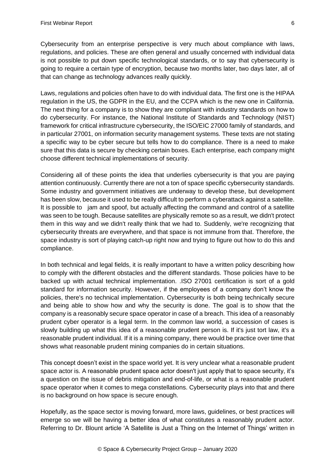Cybersecurity from an enterprise perspective is very much about compliance with laws, regulations, and policies. These are often general and usually concerned with individual data is not possible to put down specific technological standards, or to say that cybersecurity is going to require a certain type of encryption, because two months later, two days later, all of that can change as technology advances really quickly.

Laws, regulations and policies often have to do with individual data. The first one is the HIPAA regulation in the US, the GDPR in the EU, and the CCPA which is the new one in California. The next thing for a company is to show they are compliant with industry standards on how to do cybersecurity. For instance, the National Institute of Standards and Technology (NIST) framework for critical infrastructure cybersecurity, the ISO/EIC 27000 family of standards, and in particular 27001, on information security management systems. These texts are not stating a specific way to be cyber secure but tells how to do compliance. There is a need to make sure that this data is secure by checking certain boxes. Each enterprise, each company might choose different technical implementations of security.

Considering all of these points the idea that underlies cybersecurity is that you are paying attention continuously. Currently there are not a ton of space specific cybersecurity standards. Some industry and government initiatives are underway to develop these, but development has been slow, because it used to be really difficult to perform a cyberattack against a satellite. It is possible to jam and spoof, but actually affecting the command and control of a satellite was seen to be tough. Because satellites are physically remote so as a result, we didn't protect them in this way and we didn't really think that we had to. Suddenly, we're recognizing that cybersecurity threats are everywhere, and that space is not immune from that. Therefore, the space industry is sort of playing catch-up right now and trying to figure out how to do this and compliance.

In both technical and legal fields, it is really important to have a written policy describing how to comply with the different obstacles and the different standards. Those policies have to be backed up with actual technical implementation. .ISO 27001 certification is sort of a gold standard for information security. However, if the employees of a company don't know the policies, there's no technical implementation. Cybersecurity is both being technically secure and being able to show how and why the security is done. The goal is to show that the company is a reasonably secure space operator in case of a breach. This idea of a reasonably prudent cyber operator is a legal term. In the common law world, a succession of cases is slowly building up what this idea of a reasonable prudent person is. If it's just tort law, it's a reasonable prudent individual. If it is a mining company, there would be practice over time that shows what reasonable prudent mining companies do in certain situations.

This concept doesn't exist in the space world yet. It is very unclear what a reasonable prudent space actor is. A reasonable prudent space actor doesn't just apply that to space security, it's a question on the issue of debris mitigation and end-of-life, or what is a reasonable prudent space operator when it comes to mega constellations. Cybersecurity plays into that and there is no background on how space is secure enough.

Hopefully, as the space sector is moving forward, more laws, guidelines, or best practices will emerge so we will be having a better idea of what constitutes a reasonably prudent actor. Referring to Dr. Blount article 'A Satellite is Just a Thing on the Internet of Things' written in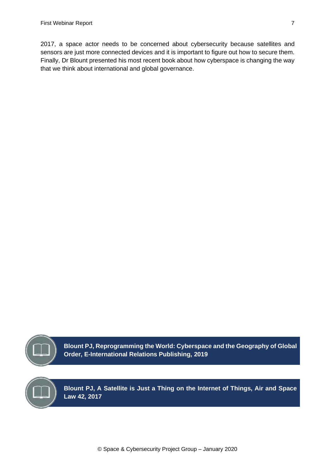2017, a space actor needs to be concerned about cybersecurity because satellites and sensors are just more connected devices and it is important to figure out how to secure them. Finally, Dr Blount presented his most recent book about how cyberspace is changing the way that we think about international and global governance.



**Blount PJ, Reprogramming the World: Cyberspace and the Geography of Global Order, E-International Relations Publishing, 2019**

**Blount PJ, A Satellite is Just a Thing on the Internet of Things, Air and Space Law 42, 2017**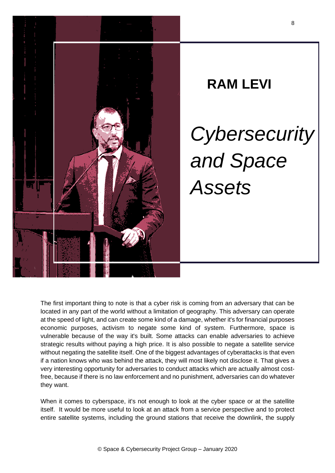

# **RAM LEVI** *Cybersecurity and Space Assets*

The first important thing to note is that a cyber risk is coming from an adversary that can be located in any part of the world without a limitation of geography. This adversary can operate at the speed of light, and can create some kind of a damage, whether it's for financial purposes economic purposes, activism to negate some kind of system. Furthermore, space is vulnerable because of the way it's built. Some attacks can enable adversaries to achieve strategic results without paying a high price. It is also possible to negate a satellite service without negating the satellite itself. One of the biggest advantages of cyberattacks is that even if a nation knows who was behind the attack, they will most likely not disclose it. That gives a very interesting opportunity for adversaries to conduct attacks which are actually almost costfree, because if there is no law enforcement and no punishment, adversaries can do whatever they want.

When it comes to cyberspace, it's not enough to look at the cyber space or at the satellite itself. It would be more useful to look at an attack from a service perspective and to protect entire satellite systems, including the ground stations that receive the downlink, the supply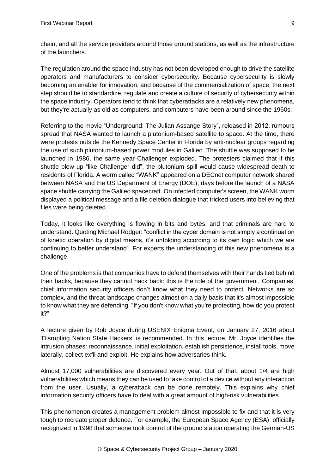chain, and all the service providers around those ground stations, as well as the infrastructure of the launchers.

The regulation around the space industry has not been developed enough to drive the satellite operators and manufacturers to consider cybersecurity. Because cybersecurity is slowly becoming an enabler for innovation, and because of the commercialization of space, the next step should be to standardize, regulate and create a culture of security of cybersecurity within the space industry. Operators tend to think that cyberattacks are a relatively new phenomena, but they're actually as old as computers, and computers have been around since the 1960s.

Referring to the movie "Underground: The Julian Assange Story", released in 2012, rumours spread that NASA wanted to launch a plutonium-based satellite to space. At the time, there were protests outside the Kennedy Space Center in Florida by anti-nuclear groups regarding the use of such plutonium-based power modules in Galileo. The shuttle was supposed to be launched in 1986, the same year Challenger exploded. The protesters claimed that if this shuttle blew up "like Challenger did", the plutonium spill would cause widespread death to residents of Florida. A worm called "WANK" appeared on a DECnet computer network shared between NASA and the US Department of Energy (DOE), days before the launch of a NASA space shuttle carrying the Galileo spacecraft. On infected computer's screen, the WANK worm displayed a political message and a file deletion dialogue that tricked users into believing that files were being deleted.

Today, it looks like everything is flowing in bits and bytes, and that criminals are hard to understand. Quoting Michael Rodger: "conflict in the cyber domain is not simply a continuation of kinetic operation by digital means, it's unfolding according to its own logic which we are continuing to better understand". For experts the understanding of this new phenomena is a challenge.

One of the problems is that companies have to defend themselves with their hands tied behind their backs, because they cannot hack back: this is the role of the government. Companies' chief information security officers don't know what they need to protect. Networks are so complex, and the threat landscape changes almost on a daily basis that it's almost impossible to know what they are defending. "If you don't know what you're protecting, how do you protect it?"

A lecture given by Rob Joyce during USENIX Enigma Event, on January 27, 2016 about 'Disrupting Nation State Hackers' is recommended. In this lecture, Mr. Joyce identifies the intrusion phases: reconnaissance, initial exploitation, establish persistence, install tools, move laterally, collect exfil and exploit. He explains how adversaries think.

Almost 17,000 vulnerabilities are discovered every year. Out of that, about 1/4 are high vulnerabilities which means they can be used to take control of a device without any interaction from the user. Usually, a cyberattack can be done remotely. This explains why chief information security officers have to deal with a great amount of high-risk vulnerabilities.

This phenomenon creates a management problem almost impossible to fix and that it is very tough to recreate proper defence. For example, the European Space Agency (ESA) officially recognized in 1998 that someone took control of the ground station operating the German-US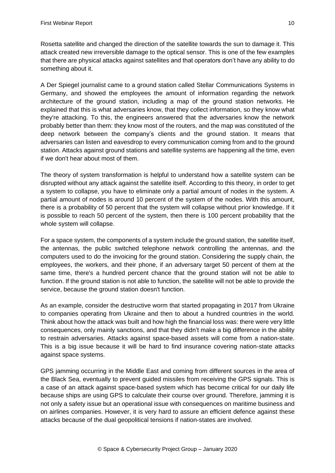Rosetta satellite and changed the direction of the satellite towards the sun to damage it. This attack created new irreversible damage to the optical sensor. This is one of the few examples that there are physical attacks against satellites and that operators don't have any ability to do something about it.

A Der Spiegel journalist came to a ground station called Stellar Communications Systems in Germany, and showed the employees the amount of information regarding the network architecture of the ground station, including a map of the ground station networks. He explained that this is what adversaries know, that they collect information, so they know what they're attacking. To this, the engineers answered that the adversaries know the network probably better than them: they know most of the routers, and the map was constituted of the deep network between the company's clients and the ground station. It means that adversaries can listen and eavesdrop to every communication coming from and to the ground station. Attacks against ground stations and satellite systems are happening all the time, even if we don't hear about most of them.

The theory of system transformation is helpful to understand how a satellite system can be disrupted without any attack against the satellite itself. According to this theory, in order to get a system to collapse, you have to eliminate only a partial amount of nodes in the system. A partial amount of nodes is around 10 percent of the system of the nodes. With this amount, there is a probability of 50 percent that the system will collapse without prior knowledge. If it is possible to reach 50 percent of the system, then there is 100 percent probability that the whole system will collapse.

For a space system, the components of a system include the ground station, the satellite itself, the antennas, the public switched telephone network controlling the antennas, and the computers used to do the invoicing for the ground station. Considering the supply chain, the employees, the workers, and their phone, if an adversary target 50 percent of them at the same time, there's a hundred percent chance that the ground station will not be able to function. If the ground station is not able to function, the satellite will not be able to provide the service, because the ground station doesn't function.

As an example, consider the destructive worm that started propagating in 2017 from Ukraine to companies operating from Ukraine and then to about a hundred countries in the world. Think about how the attack was built and how high the financial loss was: there were very little consequences, only mainly sanctions, and that they didn't make a big difference in the ability to restrain adversaries. Attacks against space-based assets will come from a nation-state. This is a big issue because it will be hard to find insurance covering nation-state attacks against space systems.

GPS jamming occurring in the Middle East and coming from different sources in the area of the Black Sea, eventually to prevent guided missiles from receiving the GPS signals. This is a case of an attack against space-based system which has become critical for our daily life because ships are using GPS to calculate their course over ground. Therefore, jamming it is not only a safety issue but an operational issue with consequences on maritime business and on airlines companies. However, it is very hard to assure an efficient defence against these attacks because of the dual geopolitical tensions if nation-states are involved.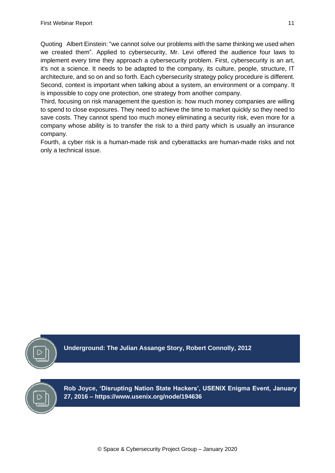Quoting Albert Einstein: "we cannot solve our problems with the same thinking we used when we created them". Applied to cybersecurity, Mr. Levi offered the audience four laws to implement every time they approach a cybersecurity problem. First, cybersecurity is an art, it's not a science. It needs to be adapted to the company, its culture, people, structure, IT architecture, and so on and so forth. Each cybersecurity strategy policy procedure is different. Second, context is important when talking about a system, an environment or a company. It is impossible to copy one protection, one strategy from another company.

Third, focusing on risk management the question is: how much money companies are willing to spend to close exposures. They need to achieve the time to market quickly so they need to save costs. They cannot spend too much money eliminating a security risk, even more for a company whose ability is to transfer the risk to a third party which is usually an insurance company.

Fourth, a cyber risk is a human-made risk and cyberattacks are human-made risks and not only a technical issue.



**Underground: The Julian Assange Story, Robert Connolly, 2012**



**Rob Joyce, 'Disrupting Nation State Hackers', USENIX Enigma Event, January 27, 2016 – https://www.usenix.org/node/194636**